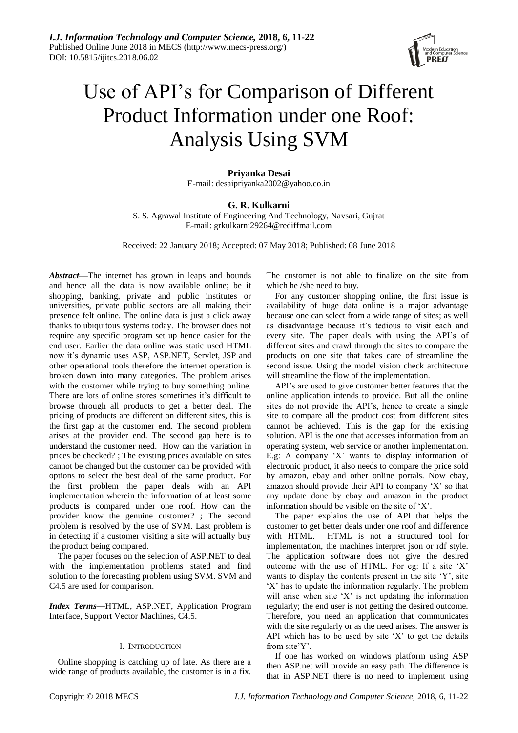

# Use of API's for Comparison of Different Product Information under one Roof: Analysis Using SVM

**Priyanka Desai** E-mail: desaipriyanka2002@yahoo.co.in

# **G. R. Kulkarni**

S. S. Agrawal Institute of Engineering And Technology, Navsari, Gujrat E-mail: [grkulkarni29264@rediffmail.com](mailto:grkulkarni29264@rediffmail.com)

Received: 22 January 2018; Accepted: 07 May 2018; Published: 08 June 2018

*Abstract—*The internet has grown in leaps and bounds and hence all the data is now available online; be it shopping, banking, private and public institutes or universities, private public sectors are all making their presence felt online. The online data is just a click away thanks to ubiquitous systems today. The browser does not require any specific program set up hence easier for the end user. Earlier the data online was static used HTML now it's dynamic uses ASP, ASP.NET, Servlet, JSP and other operational tools therefore the internet operation is broken down into many categories. The problem arises with the customer while trying to buy something online. There are lots of online stores sometimes it's difficult to browse through all products to get a better deal. The pricing of products are different on different sites, this is the first gap at the customer end. The second problem arises at the provider end. The second gap here is to understand the customer need. How can the variation in prices be checked? ; The existing prices available on sites cannot be changed but the customer can be provided with options to select the best deal of the same product. For the first problem the paper deals with an API implementation wherein the information of at least some products is compared under one roof. How can the provider know the genuine customer? ; The second problem is resolved by the use of SVM. Last problem is in detecting if a customer visiting a site will actually buy the product being compared.

The paper focuses on the selection of ASP.NET to deal with the implementation problems stated and find solution to the forecasting problem using SVM. SVM and C4.5 are used for comparison.

*Index Terms*—HTML, ASP.NET, Application Program Interface, Support Vector Machines, C4.5.

# I. INTRODUCTION

Online shopping is catching up of late. As there are a wide range of products available, the customer is in a fix. The customer is not able to finalize on the site from which he /she need to buy.

For any customer shopping online, the first issue is availability of huge data online is a major advantage because one can select from a wide range of sites; as well as disadvantage because it's tedious to visit each and every site. The paper deals with using the API's of different sites and crawl through the sites to compare the products on one site that takes care of streamline the second issue. Using the model vision check architecture will streamline the flow of the implementation.

API's are used to give customer better features that the online application intends to provide. But all the online sites do not provide the API's, hence to create a single site to compare all the product cost from different sites cannot be achieved. This is the gap for the existing solution. API is the one that accesses information from an operating system, web service or another implementation. E.g: A company 'X' wants to display information of electronic product, it also needs to compare the price sold by amazon, ebay and other online portals. Now ebay, amazon should provide their API to company 'X' so that any update done by ebay and amazon in the product information should be visible on the site of 'X'.

The paper explains the use of API that helps the customer to get better deals under one roof and difference with HTML. HTML is not a structured tool for implementation, the machines interpret json or rdf style. The application software does not give the desired outcome with the use of HTML. For eg: If a site 'X' wants to display the contents present in the site 'Y', site 'X' has to update the information regularly. The problem will arise when site 'X' is not updating the information regularly; the end user is not getting the desired outcome. Therefore, you need an application that communicates with the site regularly or as the need arises. The answer is API which has to be used by site  $'X'$  to get the details from site'Y'.

If one has worked on windows platform using ASP then ASP.net will provide an easy path. The difference is that in ASP.NET there is no need to implement using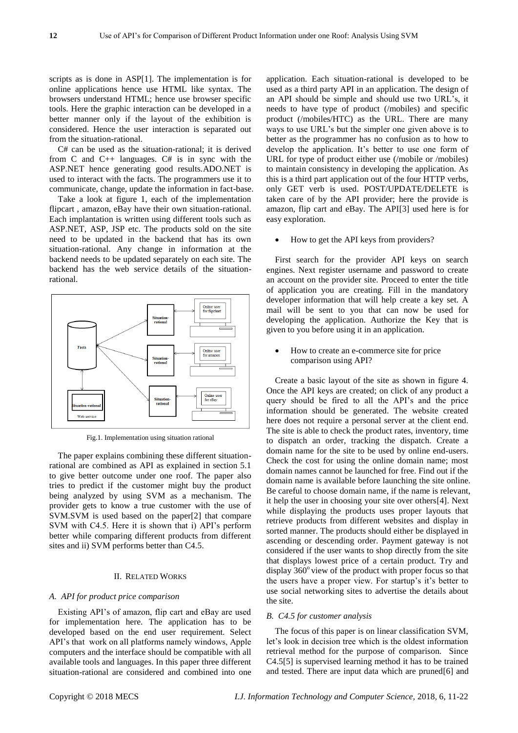scripts as is done in ASP[1]. The implementation is for online applications hence use HTML like syntax. The browsers understand HTML; hence use browser specific tools. Here the graphic interaction can be developed in a better manner only if the layout of the exhibition is considered. Hence the user interaction is separated out from the situation-rational.

C# can be used as the situation-rational; it is derived from C and C++ languages. C# is in sync with the ASP.NET hence generating good results.ADO.NET is used to interact with the facts. The programmers use it to communicate, change, update the information in fact-base.

Take a look at figure 1, each of the implementation flipcart , amazon, eBay have their own situation-rational. Each implantation is written using different tools such as ASP.NET, ASP, JSP etc. The products sold on the site need to be updated in the backend that has its own situation-rational. Any change in information at the backend needs to be updated separately on each site. The backend has the web service details of the situationrational.



Fig.1. Implementation using situation rational

The paper explains combining these different situationrational are combined as API as explained in section 5.1 to give better outcome under one roof. The paper also tries to predict if the customer might buy the product being analyzed by using SVM as a mechanism. The provider gets to know a true customer with the use of SVM.SVM is used based on the paper[2] that compare SVM with C4.5. Here it is shown that i) API's perform better while comparing different products from different sites and ii) SVM performs better than C4.5.

#### II. RELATED WORKS

#### *A. API for product price comparison*

Existing API's of amazon, flip cart and eBay are used for implementation here. The application has to be developed based on the end user requirement. Select API's that work on all platforms namely windows, Apple computers and the interface should be compatible with all available tools and languages. In this paper three different situation-rational are considered and combined into one application. Each situation-rational is developed to be used as a third party API in an application. The design of an API should be simple and should use two URL's, it needs to have type of product (/mobiles) and specific product (/mobiles/HTC) as the URL. There are many ways to use URL's but the simpler one given above is to better as the programmer has no confusion as to how to develop the application. It's better to use one form of URL for type of product either use (/mobile or /mobiles) to maintain consistency in developing the application. As this is a third part application out of the four HTTP verbs, only GET verb is used. POST/UPDATE/DELETE is taken care of by the API provider; here the provide is amazon, flip cart and eBay. The API[3] used here is for easy exploration.

How to get the API keys from providers?

First search for the provider API keys on search engines. Next register username and password to create an account on the provider site. Proceed to enter the title of application you are creating. Fill in the mandatory developer information that will help create a key set. A mail will be sent to you that can now be used for developing the application. Authorize the Key that is given to you before using it in an application.

 How to create an e-commerce site for price comparison using API?

Create a basic layout of the site as shown in figure 4. Once the API keys are created; on click of any product a query should be fired to all the API's and the price information should be generated. The website created here does not require a personal server at the client end. The site is able to check the product rates, inventory, time to dispatch an order, tracking the dispatch. Create a domain name for the site to be used by online end-users. Check the cost for using the online domain name; most domain names cannot be launched for free. Find out if the domain name is available before launching the site online. Be careful to choose domain name, if the name is relevant, it help the user in choosing your site over others[4]. Next while displaying the products uses proper layouts that retrieve products from different websites and display in sorted manner. The products should either be displayed in ascending or descending order. Payment gateway is not considered if the user wants to shop directly from the site that displays lowest price of a certain product. Try and display  $360^\circ$  view of the product with proper focus so that the users have a proper view. For startup's it's better to use social networking sites to advertise the details about the site.

# *B. C4.5 for customer analysis*

The focus of this paper is on linear classification SVM, let's look in decision tree which is the oldest information retrieval method for the purpose of comparison. Since C4.5[5] is supervised learning method it has to be trained and tested. There are input data which are pruned[6] and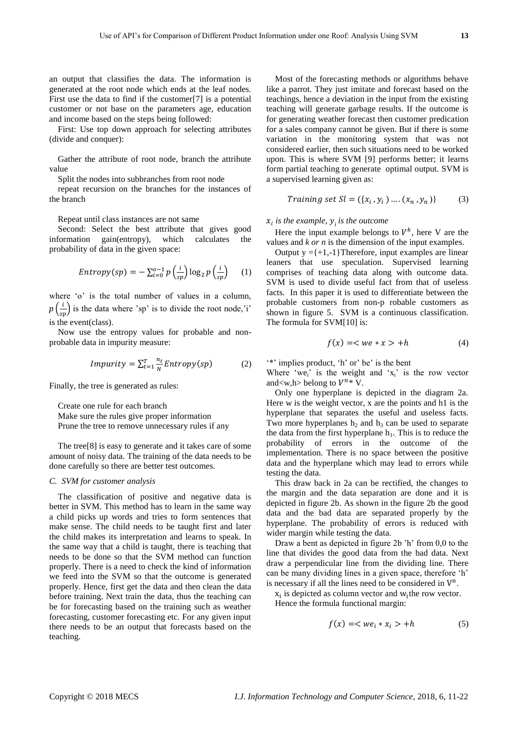an output that classifies the data. The information is generated at the root node which ends at the leaf nodes. First use the data to find if the customer[7] is a potential customer or not base on the parameters age, education and income based on the steps being followed:

First: Use top down approach for selecting attributes (divide and conquer):

Gather the attribute of root node, branch the attribute value

Split the nodes into subbranches from root node

repeat recursion on the branches for the instances of the branch

Repeat until class instances are not same

Second: Select the best attribute that gives good information gain(entropy), which calculates the probability of data in the given space:

$$
Entropy(sp) = -\sum_{i=0}^{o-1} p\left(\frac{i}{sp}\right) \log_2 p\left(\frac{i}{sp}\right) \quad (1)
$$

where 'o' is the total number of values in a column,  $p\left(\frac{i}{sp}\right)$  is the data where 'sp' is to divide the root node,'i' is the event(class).

Now use the entropy values for probable and nonprobable data in impurity measure:

$$
Impurity = \sum_{t=1}^{T} \frac{n_t}{N} Entropy(sp)
$$
 (2)

Finally, the tree is generated as rules:

Create one rule for each branch Make sure the rules give proper information Prune the tree to remove unnecessary rules if any

The tree[8] is easy to generate and it takes care of some amount of noisy data. The training of the data needs to be done carefully so there are better test outcomes.

## *C. SVM for customer analysis*

The classification of positive and negative data is better in SVM. This method has to learn in the same way a child picks up words and tries to form sentences that make sense. The child needs to be taught first and later the child makes its interpretation and learns to speak. In the same way that a child is taught, there is teaching that needs to be done so that the SVM method can function properly. There is a need to check the kind of information we feed into the SVM so that the outcome is generated properly. Hence, first get the data and then clean the data before training. Next train the data, thus the teaching can be for forecasting based on the training such as weather forecasting, customer forecasting etc. For any given input there needs to be an output that forecasts based on the teaching.

Most of the forecasting methods or algorithms behave like a parrot. They just imitate and forecast based on the teachings, hence a deviation in the input from the existing teaching will generate garbage results. If the outcome is for generating weather forecast then customer predication for a sales company cannot be given. But if there is some variation in the monitoring system that was not considered earlier, then such situations need to be worked upon. This is where SVM [9] performs better; it learns form partial teaching to generate optimal output. SVM is a supervised learning given as:

Training set 
$$
Sl = (\{x_i, y_i\} \dots (x_n, y_n))
$$
 (3)

*is the example, is the outcome*

Here the input example belongs to  $V^k$ , here V are the values and *k or n* is the dimension of the input examples.

Output  $y = \{+1,-1\}$ Therefore, input examples are linear leaners that use speculation. Supervised learning comprises of teaching data along with outcome data. SVM is used to divide useful fact from that of useless facts. In this paper it is used to differentiate between the probable customers from non-p robable customers as shown in figure 5. SVM is a continuous classification. The formula for SVM[10] is:

$$
f(x) = \langle we * x \rangle + h \tag{4}
$$

'\*' implies product, 'h' or' be' is the bent

Where 'we<sub>i</sub>' is the weight and ' $x_i$ ' is the row vector and<w, h > belong to  $V^{n*}$  V.

Only one hyperplane is depicted in the diagram 2a. Here w is the weight vector, x are the points and h1 is the hyperplane that separates the useful and useless facts. Two more hyperplanes  $h_2$  and  $h_3$  can be used to separate the data from the first hyperplane  $h_1$ . This is to reduce the probability of errors in the outcome of the implementation. There is no space between the positive data and the hyperplane which may lead to errors while testing the data.

This draw back in 2a can be rectified, the changes to the margin and the data separation are done and it is depicted in figure 2b. As shown in the figure 2b the good data and the bad data are separated properly by the hyperplane. The probability of errors is reduced with wider margin while testing the data.

Draw a bent as depicted in figure 2b 'h' from 0,0 to the line that divides the good data from the bad data. Next draw a perpendicular line from the dividing line. There can be many dividing lines in a given space, therefore 'h' is necessary if all the lines need to be considered in  $V<sup>n</sup>$ .

 $x_i$  is depicted as column vector and  $w_i$ the row vector. Hence the formula functional margin:

$$
f(x) = \langle we_i * x_i \rangle + h \tag{5}
$$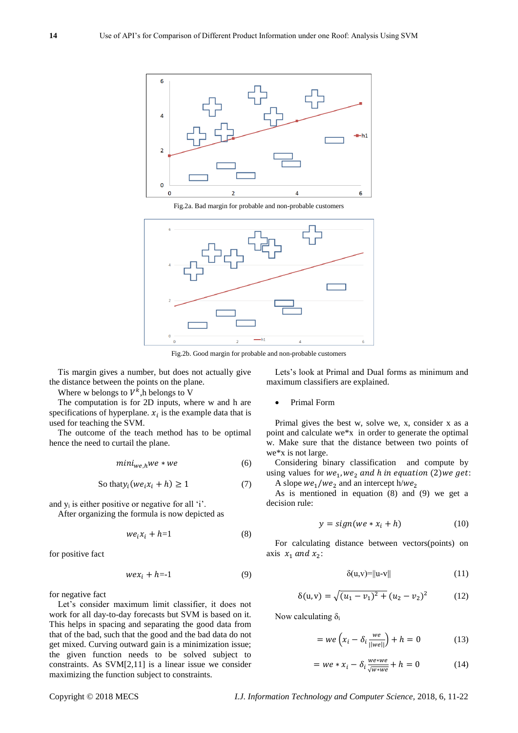

Fig.2a. Bad margin for probable and non-probable customers



Fig.2b. Good margin for probable and non-probable customers

Tis margin gives a number, but does not actually give the distance between the points on the plane.

Where w belongs to  $V^k$ , h belongs to V

The computation is for 2D inputs, where w and h are specifications of hyperplane.  $x_i$  is the example data that is used for teaching the SVM.

The outcome of the teach method has to be optimal hence the need to curtail the plane.

$$
mini_{we,h}we * we
$$
 (6)

So that 
$$
y_i (we_i x_i + h) \ge 1
$$
 (7)

and  $y_i$  is either positive or negative for all 'i'.

After organizing the formula is now depicted as

$$
we_i x_i + h = 1 \tag{8}
$$

for positive fact

$$
wex_i + h = -1 \tag{9}
$$

for negative fact

Let's consider maximum limit classifier, it does not work for all day-to-day forecasts but SVM is based on it. This helps in spacing and separating the good data from that of the bad, such that the good and the bad data do not get mixed. Curving outward gain is a minimization issue; the given function needs to be solved subject to constraints. As SVM[2,11] is a linear issue we consider maximizing the function subject to constraints.

Lets's look at Primal and Dual forms as minimum and maximum classifiers are explained.

Primal Form

Primal gives the best w, solve we, x, consider x as a point and calculate we\*x in order to generate the optimal w. Make sure that the distance between two points of we\*x is not large.

Considering binary classification and compute by using values for  $we_1, we_2$  and h in equation (2) we get: A slope  $we_1/we_2$  and an intercept h/we<sub>2</sub>

As is mentioned in equation (8) and (9) we get a

decision rule:

$$
y = sign(we * x_i + h)
$$
 (10)

For calculating distance between vectors(points) on axis  $x_1$  and  $x_2$ :

$$
\delta(u, v) = ||u - v|| \tag{11}
$$

$$
\delta(u, v) = \sqrt{(u_1 - v_1)^2 + (u_2 - v_2)^2}
$$
 (12)

Now calculating  $\delta_i$ 

$$
= we\left(x_i - \delta_i \frac{we}{||we||}\right) + h = 0 \tag{13}
$$

$$
= we * x_i - \delta_i \frac{we * we}{\sqrt{w * we}} + h = 0 \tag{14}
$$

Copyright © 2018 MECS *I.J. Information Technology and Computer Science,* 2018, 6, 11-22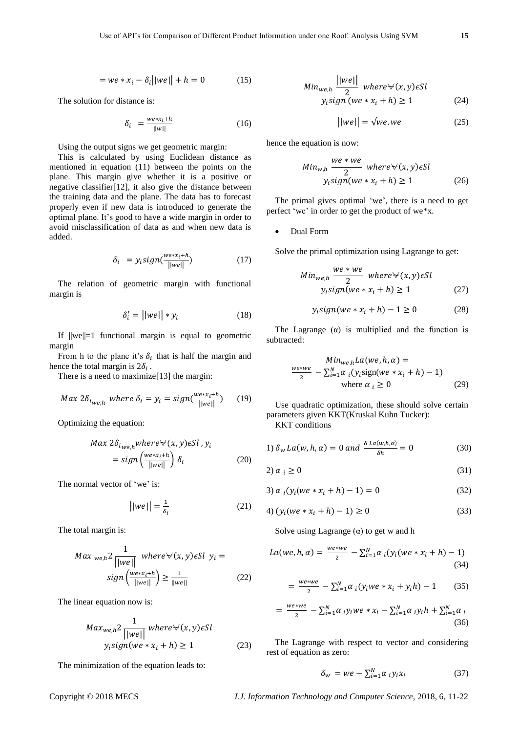$$
= we * x_i - \delta_i \big| |we| + h = 0 \tag{15}
$$

The solution for distance is:

$$
\delta_i = \frac{we * x_i + h}{||w||} \tag{16}
$$

Using the output signs we get geometric margin:

This is calculated by using Euclidean distance as mentioned in equation (11) between the points on the plane. This margin give whether it is a positive or negative classifier[12], it also give the distance between the training data and the plane. The data has to forecast properly even if new data is introduced to generate the optimal plane. It's good to have a wide margin in order to avoid misclassification of data as and when new data is added.

$$
\delta_i = y_i sign(\frac{we * x_i + h}{||we||}) \tag{17}
$$

The relation of geometric margin with functional margin is

$$
\delta_i' = ||we|| * y_i \tag{18}
$$

If  $||we||=1$  functional margin is equal to geometric margin

From h to the plane it's  $\delta_i$  that is half the margin and hence the total margin is  $2\delta_i$ .

There is a need to maximize[13] the margin:

$$
Max 2\delta_{i_{We,h}} where \delta_i = y_i = sign(\frac{we * x_i + h}{||we||}) \qquad (19)
$$

Optimizing the equation:

$$
Max 2\delta_{i_{we,h}} where \forall (x, y) \in Sl, y_i
$$
  
= sign  $\left(\frac{we \ast x_i + h}{||we||}\right) \delta_i$  (20)

The normal vector of 'we' is:

$$
||we|| = \frac{1}{\delta_i} \tag{21}
$$

The total margin is:

$$
Max_{we,h}2\frac{1}{||we||}\nwhere \forall (x,y)\in Sl \ y_i = \nsign\left(\frac{we*x_i+h}{||we||}\right) \ge \frac{1}{||we||}\n \tag{22}
$$

The linear equation now is:

$$
Max_{we,h}2\frac{1}{\vert\vert we\vert\vert} where \forall (x,y)\in Sl
$$
  

$$
y_i sign(we * x_i + h) \ge 1
$$
 (23)

The minimization of the equation leads to:

$$
Min_{we,h} \frac{||we||}{2} \quad where \forall (x, y) \in Sl
$$

$$
y_i sign \ (we * x_i + h) \ge 1 \tag{24}
$$

$$
||we|| = \sqrt{we. we}
$$
 (25)

hence the equation is now:

$$
Min_{w,h} \frac{we * we}{2} \quad where \forall (x, y) \in Sl
$$

$$
y_i sign(we * x_i + h) \ge 1
$$
 (26)

The primal gives optimal 'we', there is a need to get perfect 'we' in order to get the product of we\*x.

Dual Form

Solve the primal optimization using Lagrange to get:

$$
Min_{we,h} \frac{we * we}{2} \quad where \forall (x, y) \in Sl
$$

$$
y_i sign(we * x_i + h) \ge 1
$$
 (27)

$$
y_i sign(we * x_i + h) - 1 \ge 0 \tag{28}
$$

The Lagrange  $(\alpha)$  is multiplied and the function is subtracted:

$$
\frac{Min_{we,h}La(we,h,\alpha) =}{\frac{2}{2} - \sum_{i=1}^{N} \alpha_i (y_i \text{sign}(we * x_i + h) - 1)}
$$
  
where  $\alpha_i \ge 0$  (29)

Use quadratic optimization, these should solve certain parameters given KKT(Kruskal Kuhn Tucker):

KKT conditions

1) 
$$
\delta_w La(w, h, \alpha) = 0
$$
 and  $\frac{\delta La(w, h, \alpha)}{\delta h} = 0$  (30)

$$
2) \alpha_i \ge 0 \tag{31}
$$

3) 
$$
\alpha_i(y_i(we * x_i + h) - 1) = 0
$$
 (32)

$$
4) (yi(we * xi + h) - 1) \ge 0
$$
 (33)

Solve using Lagrange  $(\alpha)$  to get w and h

$$
La(we, h, \alpha) = \frac{we \cdot we}{2} - \sum_{i=1}^{N} \alpha_i (y_i (we \cdot x_i + h) - 1)
$$
\n(34)

$$
= \frac{we \ast we}{2} - \sum_{i=1}^{N} \alpha_i (y_i we \ast x_i + y_i h) - 1 \tag{35}
$$

$$
= \frac{we * we}{2} - \sum_{i=1}^{N} \alpha_i y_i we * x_i - \sum_{i=1}^{N} \alpha_i y_i h + \sum_{i=1}^{N} \alpha_i
$$
\n(36)

The Lagrange with respect to vector and considering rest of equation as zero:

$$
\delta_w = we - \sum_{i=1}^{N} \alpha_i y_i x_i \tag{37}
$$

Copyright © 2018 MECS *I.J. Information Technology and Computer Science,* 2018, 6, 11-22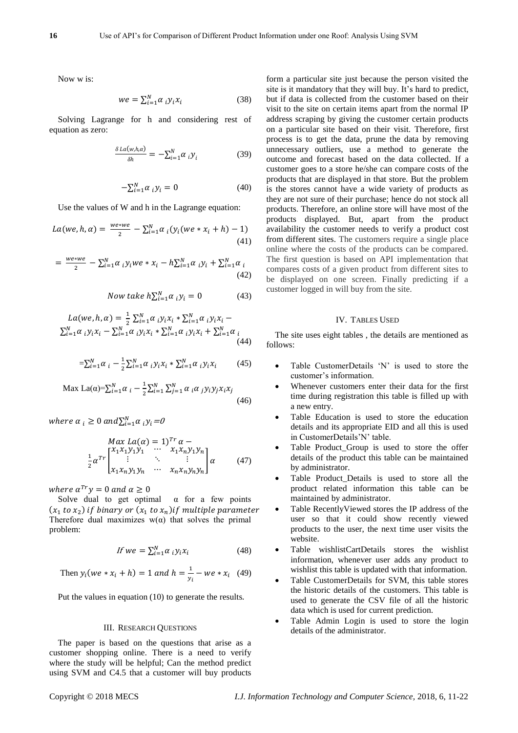Now w is:

$$
we = \sum_{i=1}^{N} \alpha_i y_i x_i \tag{38}
$$

Solving Lagrange for h and considering rest of equation as zero:

$$
\frac{\delta La(w,h,\alpha)}{\delta h} = -\sum_{i=1}^{N} \alpha_i y_i \tag{39}
$$

$$
-\sum_{i=1}^{N} \alpha_i y_i = 0 \tag{40}
$$

Use the values of W and h in the Lagrange equation:

$$
La(we, h, \alpha) = \frac{we \times we}{2} - \sum_{i=1}^{N} \alpha_i (y_i (we \times x_i + h) - 1)
$$
\n
$$
\tag{41}
$$

$$
= \frac{we * we}{2} - \sum_{i=1}^{N} \alpha_i y_i we * x_i - h \sum_{i=1}^{N} \alpha_i y_i + \sum_{i=1}^{N} \alpha_i
$$
\n(42)

Now take  $h\sum_{i=1}^{N} \alpha_i y_i = 0$  (43)

$$
La(we, h, \alpha) = \frac{1}{2} \sum_{i=1}^{N} \alpha_i y_i x_i * \sum_{i=1}^{N} \alpha_i y_i x_i - \sum_{i=1}^{N} \alpha_i y_i x_i - \sum_{i=1}^{N} \alpha_i y_i x_i * \sum_{i=1}^{N} \alpha_i y_i x_i + \sum_{i=1}^{N} \alpha_i (44)
$$

$$
=\sum_{i=1}^{N} \alpha_i - \frac{1}{2} \sum_{i=1}^{N} \alpha_i y_i x_i * \sum_{i=1}^{N} \alpha_i y_i x_i \tag{45}
$$

$$
\text{Max La}(\alpha) = \sum_{i=1}^{N} \alpha_i - \frac{1}{2} \sum_{i=1}^{N} \sum_{j=1}^{N} \alpha_i \alpha_j y_i y_j x_i x_j \tag{46}
$$

where  $\alpha_i \geq 0$  and  $\sum_{i=1}^{N} \alpha_i y_i = 0$ 

$$
\begin{array}{ccc}\nMax La(\alpha) = 1)^{Tr} \alpha - \\
\frac{1}{2} \alpha^{Tr} \begin{bmatrix} x_1 x_1 y_1 y_1 & \cdots & x_1 x_n y_1 y_n \\ \vdots & \ddots & \vdots \\ x_1 x_n y_1 y_n & \cdots & x_n x_n y_n y_n \end{bmatrix} \alpha\n\end{array} (47)
$$

where  $\alpha^{Tr} y = 0$  and  $\alpha \ge 0$ 

Solve dual to get optimal  $\alpha$  for a few points  $(x_1$  to  $x_2$ ) if binary or  $(x_1$  to  $x_n$ ) if multiple parameter Therefore dual maximizes  $w(\alpha)$  that solves the primal problem:

$$
If we = \sum_{i=1}^{N} \alpha_i y_i x_i \tag{48}
$$

Then 
$$
y_i(we * x_i + h) = 1
$$
 and  $h = \frac{1}{y_i} - we * x_i$  (49)

Put the values in equation (10) to generate the results.

#### III. RESEARCH QUESTIONS

The paper is based on the questions that arise as a customer shopping online. There is a need to verify where the study will be helpful; Can the method predict using SVM and C4.5 that a customer will buy products

form a particular site just because the person visited the site is it mandatory that they will buy. It's hard to predict, but if data is collected from the customer based on their visit to the site on certain items apart from the normal IP address scraping by giving the customer certain products on a particular site based on their visit. Therefore, first process is to get the data, prune the data by removing unnecessary outliers, use a method to generate the outcome and forecast based on the data collected. If a customer goes to a store he/she can compare costs of the products that are displayed in that store. But the problem is the stores cannot have a wide variety of products as they are not sure of their purchase; hence do not stock all products. Therefore, an online store will have most of the products displayed. But, apart from the product availability the customer needs to verify a product cost from different sites. The customers require a single place online where the costs of the products can be compared. The first question is based on API implementation that compares costs of a given product from different sites to be displayed on one screen. Finally predicting if a customer logged in will buy from the site.

#### IV. TABLES USED

The site uses eight tables , the details are mentioned as follows:

- Table CustomerDetails 'N' is used to store the customer's information.
- Whenever customers enter their data for the first time during registration this table is filled up with a new entry.
- Table Education is used to store the education details and its appropriate EID and all this is used in CustomerDetails'N' table.
- Table Product\_Group is used to store the offer details of the product this table can be maintained by administrator.
- Table Product\_Details is used to store all the product related information this table can be maintained by administrator.
- Table RecentlyViewed stores the IP address of the user so that it could show recently viewed products to the user, the next time user visits the website.
- Table wishlistCartDetails stores the wishlist information, whenever user adds any product to wishlist this table is updated with that information.
- Table CustomerDetails for SVM, this table stores the historic details of the customers. This table is used to generate the CSV file of all the historic data which is used for current prediction.
- Table Admin Login is used to store the login details of the administrator.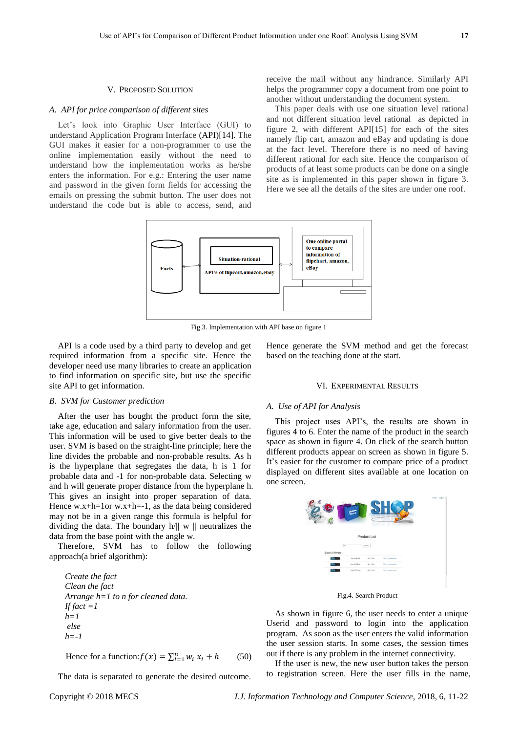#### V. PROPOSED SOLUTION

#### *A. API for price comparison of different sites*

Let's look into Graphic User Interface (GUI) to understand Application Program Interface (API)[14]. The GUI makes it easier for a non-programmer to use the online implementation easily without the need to understand how the implementation works as he/she enters the information. For e.g.: Entering the user name and password in the given form fields for accessing the emails on pressing the submit button. The user does not understand the code but is able to access, send, and receive the mail without any hindrance. Similarly API helps the programmer copy a document from one point to another without understanding the document system.

This paper deals with use one situation level rational and not different situation level rational as depicted in figure 2, with different API[15] for each of the sites namely flip cart, amazon and eBay and updating is done at the fact level. Therefore there is no need of having different rational for each site. Hence the comparison of products of at least some products can be done on a single site as is implemented in this paper shown in figure 3. Here we see all the details of the sites are under one roof.



Fig.3. Implementation with API base on figure 1

API is a code used by a third party to develop and get required information from a specific site. Hence the developer need use many libraries to create an application to find information on specific site, but use the specific site API to get information.

#### *B. SVM for Customer prediction*

After the user has bought the product form the site, take age, education and salary information from the user. This information will be used to give better deals to the user. SVM is based on the straight-line principle; here the line divides the probable and non-probable results. As h is the hyperplane that segregates the data, h is 1 for probable data and -1 for non-probable data. Selecting w and h will generate proper distance from the hyperplane h. This gives an insight into proper separation of data. Hence w.x+h=1or w.x+h=-1, as the data being considered may not be in a given range this formula is helpful for dividing the data. The boundary  $h/\Vert w \Vert$  neutralizes the data from the base point with the angle w.

Therefore, SVM has to follow the following approach(a brief algorithm):

*Create the fact Clean the fact Arrange h=1 to n for cleaned data. If fact*  $=$ *I h=1 else h=-1*

Hence for a function:  $f(x) = \sum_{i=1}^{n} w_i x_i + h$  (50)

The data is separated to generate the desired outcome.

Hence generate the SVM method and get the forecast based on the teaching done at the start.

# VI. EXPERIMENTAL RESULTS

# *A. Use of API for Analysis*

This project uses API's, the results are shown in figures 4 to 6. Enter the name of the product in the search space as shown in figure 4. On click of the search button different products appear on screen as shown in figure 5. It's easier for the customer to compare price of a product displayed on different sites available at one location on one screen.

| $\epsilon$    |              |              |                       | Harro<br>Sales by |
|---------------|--------------|--------------|-----------------------|-------------------|
|               |              | Product List |                       |                   |
| ht            |              | seach        |                       |                   |
| Search Result |              |              |                       |                   |
|               |              | Rs. 1000     | Click for your detail |                   |
|               | For 10000-00 | Rs. 1000     | Cica to very detail.  |                   |
|               | Fbi-10056-66 | Rx 2000      | CIOLIO vew detail     |                   |
|               |              |              |                       |                   |
|               |              |              |                       |                   |

Fig.4. Search Product

As shown in figure 6, the user needs to enter a unique Userid and password to login into the application program. As soon as the user enters the valid information the user session starts. In some cases, the session times out if there is any problem in the internet connectivity.

If the user is new, the new user button takes the person to registration screen. Here the user fills in the name,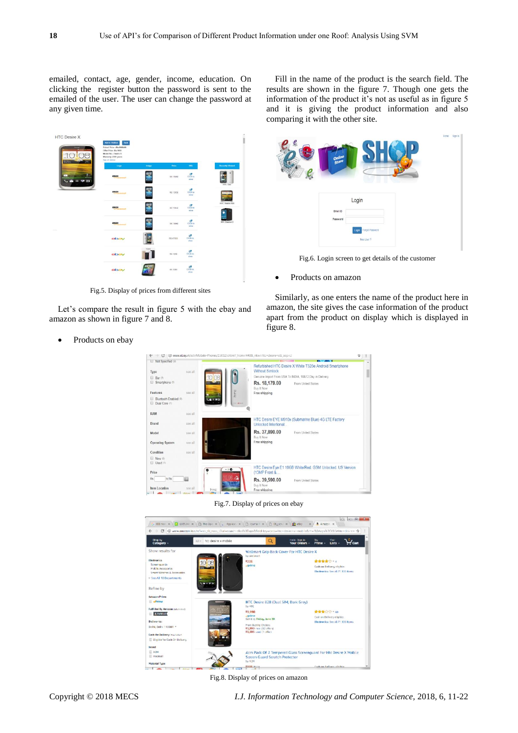emailed, contact, age, gender, income, education. On clicking the register button the password is sent to the emailed of the user. The user can change the password at any given time.

HTC Desire X 墨  $\begin{array}{c} \mathbf{C}^{\mathbf{R}} \\ \text{trivial} \end{array}$ RS 1395 零  $\frac{C}{C}$ RS.13950 E.  $rac{C}{C}$ 靀  $rac{C}{C}$  $\frac{C^2}{C^2}$ ebay  $rac{C}{C}$  $\frac{C}{C}$ ebay

Fig.5. Display of prices from different sites

Let's compare the result in figure 5 with the ebay and amazon as shown in figure 7 and 8.

• Products on ebay

Fill in the name of the product is the search field. The results are shown in the figure 7. Though one gets the information of the product it's not as useful as in figure 5 and it is giving the product information and also comparing it with the other site.

| $\pmb{\mathcal{C}}$ | Online<br>Store                                 | Home Sign in |
|---------------------|-------------------------------------------------|--------------|
|                     | Login<br>Email ID                               |              |
|                     | Password<br>Login Forgot Password<br>New User ? |              |

Fig.6. Login screen to get details of the customer

Products on amazon

Similarly, as one enters the name of the product here in amazon, the site gives the case information of the product apart from the product on display which is displayed in figure 8.



Fig.7. Display of prices on ebay



Fig.8. Display of prices on amazon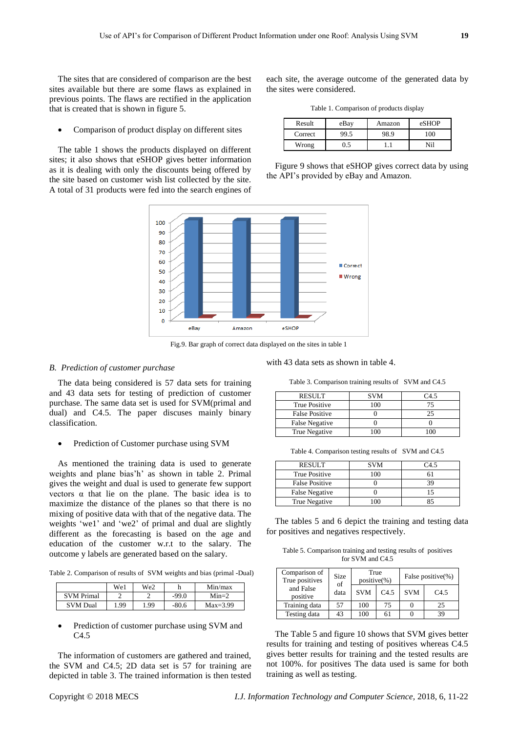The sites that are considered of comparison are the best sites available but there are some flaws as explained in previous points. The flaws are rectified in the application that is created that is shown in figure 5.

• Comparison of product display on different sites

The table 1 shows the products displayed on different sites; it also shows that eSHOP gives better information as it is dealing with only the discounts being offered by the site based on customer wish list collected by the site. A total of 31 products were fed into the search engines of each site, the average outcome of the generated data by the sites were considered.

Table 1. Comparison of products display

| Result  | eBay | Amazon | eSHOP |
|---------|------|--------|-------|
| Correct | 99.5 | 98.9   | 00    |
| Wrong   |      |        | Ni l  |

Figure 9 shows that eSHOP gives correct data by using the API's provided by eBay and Amazon.



Fig.9. Bar graph of correct data displayed on the sites in table 1

#### *B. Prediction of customer purchase*

The data being considered is 57 data sets for training and 43 data sets for testing of prediction of customer purchase. The same data set is used for SVM(primal and dual) and C4.5. The paper discuses mainly binary classification.

• Prediction of Customer purchase using SVM

As mentioned the training data is used to generate weights and plane bias'h' as shown in table 2. Primal gives the weight and dual is used to generate few support vectors  $\alpha$  that lie on the plane. The basic idea is to maximize the distance of the planes so that there is no mixing of positive data with that of the negative data. The weights 'we1' and 'we2' of primal and dual are slightly different as the forecasting is based on the age and education of the customer w.r.t to the salary. The outcome y labels are generated based on the salary.

Table 2. Comparison of results of SVM weights and bias (primal -Dual)

|                   | We1  | We2  |         | Min/max    |
|-------------------|------|------|---------|------------|
| <b>SVM Primal</b> |      |      | $-99.0$ | $Min=2$    |
| <b>SVM</b> Dual   | 1.99 | 1.99 | $-80.6$ | $Max=3.99$ |

 Prediction of customer purchase using SVM and C4.5

The information of customers are gathered and trained, the SVM and C4.5; 2D data set is 57 for training are depicted in table 3. The trained information is then tested

with 43 data sets as shown in table 4.

Table 3. Comparison training results of SVM and C4.5

| <b>RESULT</b>         | <b>SVM</b> | C4 5 |
|-----------------------|------------|------|
| True Positive         | 100        |      |
| <b>False Positive</b> |            | 25   |
| <b>False Negative</b> |            |      |
| True Negative         |            |      |

Table 4. Comparison testing results of SVM and C4.5

| <b>RESULT</b>         | <b>SVM</b> | 74.5 |
|-----------------------|------------|------|
| True Positive         |            |      |
| <b>False Positive</b> |            |      |
| <b>False Negative</b> |            |      |
| True Negative         |            |      |

The tables 5 and 6 depict the training and testing data for positives and negatives respectively.

Table 5. Comparison training and testing results of positives for SVM and C4.5

| Comparison of<br>True positives | <b>Size</b><br>of<br>data | True<br>$positive(\% )$ |      | False positive(%) |      |
|---------------------------------|---------------------------|-------------------------|------|-------------------|------|
| and False<br>positive           |                           | <b>SVM</b>              | C4.5 | <b>SVM</b>        | C4.5 |
| Training data                   | 57                        | 100                     | 75   |                   | 25   |
| Testing data                    | 43                        | 100                     | 61   |                   | 39   |

The Table 5 and figure 10 shows that SVM gives better results for training and testing of positives whereas C4.5 gives better results for training and the tested results are not 100%. for positives The data used is same for both training as well as testing.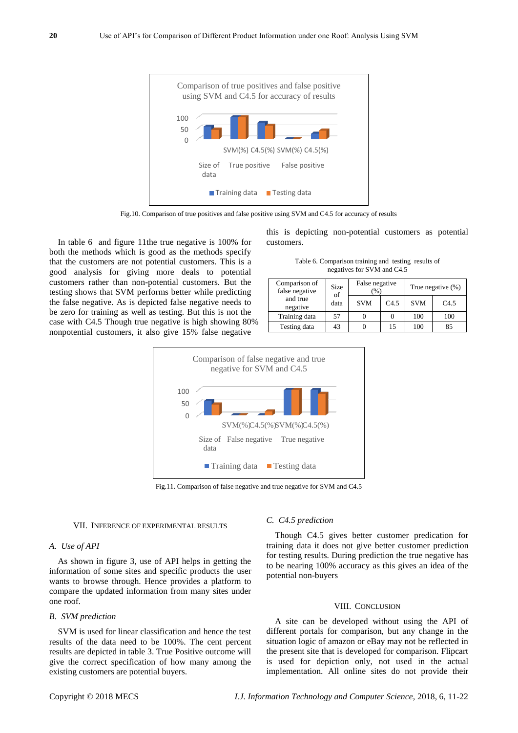

Fig.10. Comparison of true positives and false positive using SVM and C4.5 for accuracy of results

In table 6 and figure 11the true negative is 100% for both the methods which is good as the methods specify that the customers are not potential customers. This is a good analysis for giving more deals to potential customers rather than non-potential customers. But the testing shows that SVM performs better while predicting the false negative. As is depicted false negative needs to be zero for training as well as testing. But this is not the case with C4.5 Though true negative is high showing 80% nonpotential customers, it also give 15% false negative

this is depicting non-potential customers as potential customers.

Table 6. Comparison training and testing results of negatives for SVM and C4.5

| Comparison of<br>false negative | Size<br>of<br>data | False negative<br>(96) |      | True negative (%) |      |
|---------------------------------|--------------------|------------------------|------|-------------------|------|
| and true<br>negative            |                    | <b>SVM</b>             | C4.5 | <b>SVM</b>        | C4.5 |
| Training data                   | 57                 |                        |      | 100               | 100  |
| Testing data                    | 43                 |                        | 15   | 100               | 85   |



Fig.11. Comparison of false negative and true negative for SVM and C4.5

#### VII. INFERENCE OF EXPERIMENTAL RESULTS

#### *A. Use of API*

As shown in figure 3, use of API helps in getting the information of some sites and specific products the user wants to browse through. Hence provides a platform to compare the updated information from many sites under one roof.

#### *B. SVM prediction*

SVM is used for linear classification and hence the test results of the data need to be 100%. The cent percent results are depicted in table 3. True Positive outcome will give the correct specification of how many among the existing customers are potential buyers.

#### *C. C4.5 prediction*

Though C4.5 gives better customer predication for training data it does not give better customer prediction for testing results. During prediction the true negative has to be nearing 100% accuracy as this gives an idea of the potential non-buyers

#### VIII. CONCLUSION

A site can be developed without using the API of different portals for comparison, but any change in the situation logic of amazon or eBay may not be reflected in the present site that is developed for comparison. Flipcart is used for depiction only, not used in the actual implementation. All online sites do not provide their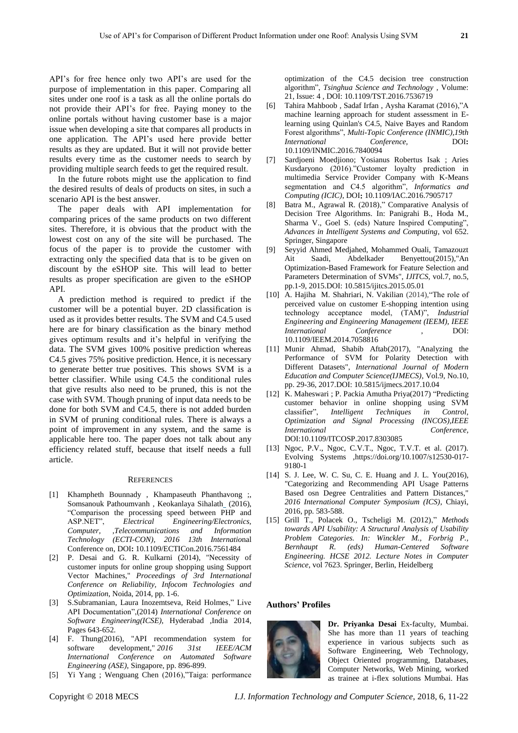API's for free hence only two API's are used for the purpose of implementation in this paper. Comparing all sites under one roof is a task as all the online portals do not provide their API's for free. Paying money to the online portals without having customer base is a major issue when developing a site that compares all products in one application. The API's used here provide better results as they are updated. But it will not provide better results every time as the customer needs to search by providing multiple search feeds to get the required result.

In the future robots might use the application to find the desired results of deals of products on sites, in such a scenario API is the best answer.

The paper deals with API implementation for comparing prices of the same products on two different sites. Therefore, it is obvious that the product with the lowest cost on any of the site will be purchased. The focus of the paper is to provide the customer with extracting only the specified data that is to be given on discount by the eSHOP site. This will lead to better results as proper specification are given to the eSHOP API.

A prediction method is required to predict if the customer will be a potential buyer. 2D classification is used as it provides better results. The SVM and C4.5 used here are for binary classification as the binary method gives optimum results and it's helpful in verifying the data. The SVM gives 100% positive prediction whereas C4.5 gives 75% positive prediction. Hence, it is necessary to generate better true positives. This shows SVM is a better classifier. While using C4.5 the conditional rules that give results also need to be pruned, this is not the case with SVM. Though pruning of input data needs to be done for both SVM and C4.5, there is not added burden in SVM of pruning conditional rules. There is always a point of improvement in any system, and the same is applicable here too. The paper does not talk about any efficiency related stuff, because that itself needs a full article.

#### **REFERENCES**

- [1] [Khampheth Bounnady ,](http://ieeexplore.ieee.org/search/searchresult.jsp?searchWithin=%22Authors%22:.QT.Khampheth%20Bounnady.QT.&newsearch=true) [Khampaseuth Phanthavong ;,](http://ieeexplore.ieee.org/search/searchresult.jsp?searchWithin=%22Authors%22:.QT.Khampaseuth%20Phanthavong.QT.&newsearch=true) Somsanouk Pathoumvanh, [Keokanlaya Sihalath](http://ieeexplore.ieee.org/search/searchresult.jsp?searchWithin=%22Authors%22:.QT.Keokanlaya%20Sihalath.QT.&newsearch=true)\_ (2016), "Comparison the processing speed between PHP and ASP.NET", *[Electrical Engineering/Electronics,](http://ieeexplore.ieee.org/xpl/mostRecentIssue.jsp?punumber=7557353)  [Computer, ,Telecommunications and Information](http://ieeexplore.ieee.org/xpl/mostRecentIssue.jsp?punumber=7557353)  [Technology \(ECTI-CON\), 2016 13th Internatio](http://ieeexplore.ieee.org/xpl/mostRecentIssue.jsp?punumber=7557353)*nal [Conference on,](http://ieeexplore.ieee.org/xpl/mostRecentIssue.jsp?punumber=7557353) DOI**:** [10.1109/ECTICon.2016.7561484](https://doi.org/10.1109/ECTICon.2016.7561484)
- [2] P. Desai and G. R. Kulkarni (2014), "Necessity of customer inputs for online group shopping using Support Vector Machines," *Proceedings of 3rd International Conference on Reliability, Infocom Technologies and Optimization*, Noida, 2014, pp. 1-6.
- [3] S.Subramanian, Laura Inozemtseva, Reid Holmes," Live API Documentation",(2014) *International Conference on Software Engineering(ICSE),* Hyderabad ,India 2014, Pages 643-652.
- [4] F. Thung(2016), "API recommendation system for software development," *2016 31st IEEE/ACM International Conference on Automated Software Engineering (ASE)*, Singapore, pp. 896-899.
- [5] [Yi Yang ;](http://ieeexplore.ieee.org/search/searchresult.jsp?searchWithin=%22Authors%22:.QT.Yi%20Yang.QT.&newsearch=true) [Wenguang Chen \(](http://ieeexplore.ieee.org/search/searchresult.jsp?searchWithin=%22Authors%22:.QT.Wenguang%20Chen.QT.&newsearch=true)2016),"Taiga: performance

optimization of the C4.5 decision tree construction algorithm", *[Tsinghua Science and Technology](http://ieeexplore.ieee.org/xpl/RecentIssue.jsp?punumber=5971803)* , Volume: 21[, Issue: 4](http://ieeexplore.ieee.org/xpl/tocresult.jsp?isnumber=7536671) , DOI: [10.1109/TST.2016.7536719](https://doi.org/10.1109/TST.2016.7536719)

- [6] Tahira Mahboob , [Sadaf Irfan](http://ieeexplore.ieee.org/search/searchresult.jsp?searchWithin=%22Authors%22:.QT.Sadaf%20Irfan.QT.&newsearch=true) , [Aysha Karamat](http://ieeexplore.ieee.org/search/searchresult.jsp?searchWithin=%22Authors%22:.QT.Aysha%20Karamat.QT.&newsearch=true) (2016),"A machine learning approach for student assessment in Elearning using Quinlan's C4.5, Naive Bayes and Random Forest algorithms", *[Multi-Topic Conference \(INMIC\),19th](http://ieeexplore.ieee.org/xpl/mostRecentIssue.jsp?punumber=7828313)  [International](http://ieeexplore.ieee.org/xpl/mostRecentIssue.jsp?punumber=7828313) Conference,* DOI**:**  [10.1109/INMIC.2016.7840094](https://doi.org/10.1109/INMIC.2016.7840094)
- [7] [Sardjoeni Moedjiono;](http://ieeexplore.ieee.org/search/searchresult.jsp?searchWithin=%22Authors%22:.QT.Sardjoeni%20Moedjiono.QT.&newsearch=true) [Yosianus Robertus Isak ;](http://ieeexplore.ieee.org/search/searchresult.jsp?searchWithin=%22Authors%22:.QT.Yosianus%20Robertus%20Isak.QT.&newsearch=true) [Aries](http://ieeexplore.ieee.org/search/searchresult.jsp?searchWithin=%22Authors%22:.QT.Aries%20Kusdaryono.QT.&newsearch=true)  [Kusdaryono \(](http://ieeexplore.ieee.org/search/searchresult.jsp?searchWithin=%22Authors%22:.QT.Aries%20Kusdaryono.QT.&newsearch=true)2016)."Customer loyalty prediction in multimedia Service Provider Company with K-Means segmentation and C4.5 algorithm", *[Informatics and](http://ieeexplore.ieee.org/xpl/mostRecentIssue.jsp?punumber=7894592)  [Computing \(ICIC\)](http://ieeexplore.ieee.org/xpl/mostRecentIssue.jsp?punumber=7894592)*, DOI**:** [10.1109/IAC.2016.7905717](https://doi.org/10.1109/IAC.2016.7905717)
- [8] Batra M., Agrawal R. (2018)," Comparative Analysis of Decision Tree Algorithms. In: Panigrahi B., Hoda M., Sharma V., Goel S. (eds) Nature Inspired Computing", *Advances in Intelligent Systems and Computing*, vol 652. Springer, Singapore
- [9] Seyyid Ahmed Medjahed, Mohammed Ouali, Tamazouzt Ait Saadi, Abdelkader Benyettou(2015),"An Optimization-Based Framework for Feature Selection and Parameters Determination of SVMs", *IJITCS*, vol.7, no.5, pp.1-9, 2015.DOI: 10.5815/ijitcs.2015.05.01
- [10] [A. Hajiha](http://ieeexplore.ieee.org/search/searchresult.jsp?searchWithin=%22Authors%22:.QT.A.%20Hajiha.QT.&newsearch=true) [M. Shahriari,](http://ieeexplore.ieee.org/search/searchresult.jsp?searchWithin=%22Authors%22:.QT.M.%20Shahriari.QT.&newsearch=true) [N. Vakilian](http://ieeexplore.ieee.org/search/searchresult.jsp?searchWithin=%22Authors%22:.QT.N.%20Vakilian.QT.&newsearch=true) (2014),"The role of perceived value on customer E-shopping intention using technology acceptance model, (TAM)", *[Industrial](http://ieeexplore.ieee.org/xpl/mostRecentIssue.jsp?punumber=7048056)  [Engineering and Engineering Management \(IEEM\), IEEE](http://ieeexplore.ieee.org/xpl/mostRecentIssue.jsp?punumber=7048056)  [International Conference](http://ieeexplore.ieee.org/xpl/mostRecentIssue.jsp?punumber=7048056)* , DOI: [10.1109/IEEM.2014.7058816](https://doi.org/10.1109/IEEM.2014.7058816)
- [11] Munir Ahmad, Shabib Aftab(2017), "Analyzing the Performance of SVM for Polarity Detection with Different Datasets", *International Journal of Modern Education and Computer Science(IJMECS)*, Vol.9, No.10, pp. 29-36, 2017.DOI: 10.5815/ijmecs.2017.10.04
- [12] [K. Maheswari ;](http://ieeexplore.ieee.org/search/searchresult.jsp?searchWithin=%22Authors%22:.QT.K.%20Maheswari.QT.&newsearch=true) [P. Packia Amutha Priya\(2017\) "](http://ieeexplore.ieee.org/search/searchresult.jsp?searchWithin=%22Authors%22:.QT.P.%20Packia%20Amutha%20Priya.QT.&newsearch=true)Predicting customer behavior in online shopping using SVM classifier", *[Intelligent Techniques in Control,](http://ieeexplore.ieee.org/xpl/mostRecentIssue.jsp?punumber=8294072)  [Optimization and Signal Processing \(INCOS\),IEEE](http://ieeexplore.ieee.org/xpl/mostRecentIssue.jsp?punumber=8294072)  [International Conference,](http://ieeexplore.ieee.org/xpl/mostRecentIssue.jsp?punumber=8294072)*  DO[I:10.1109/ITCOSP.2017.8303085](https://doi.org/10.1109/ITCOSP.2017.8303085)
- [13] Ngoc, P.V., Ngoc, C.V.T., Ngoc, T.V.T. et al. (2017). Evolving Systems ,https://doi.org/10.1007/s12530-017- 9180-1
- [14] S. J. Lee, W. C. Su, C. E. Huang and J. L. You(2016), "Categorizing and Recommending API Usage Patterns Based osn Degree Centralities and Pattern Distances," *2016 International Computer Symposium (ICS)*, Chiayi, 2016, pp. 583-588.
- [15] Grill T., Polacek O., Tscheligi M. (2012)," *Methods towards API Usability: A Structural Analysis of Usability Problem Categories. In: Winckler M., Forbrig P., Bernhaupt R. (eds) Human-Centered Software Engineering. HCSE 2012. Lecture Notes in Computer Science*, vol 7623. Springer, Berlin, Heidelberg

#### **Authors' Profiles**



**Dr. Priyanka Desai** Ex-faculty, Mumbai. She has more than 11 years of teaching experience in various subjects such as Software Engineering, Web Technology, Object Oriented programming, Databases, Computer Networks, Web Mining, worked as trainee at i-flex solutions Mumbai. Has